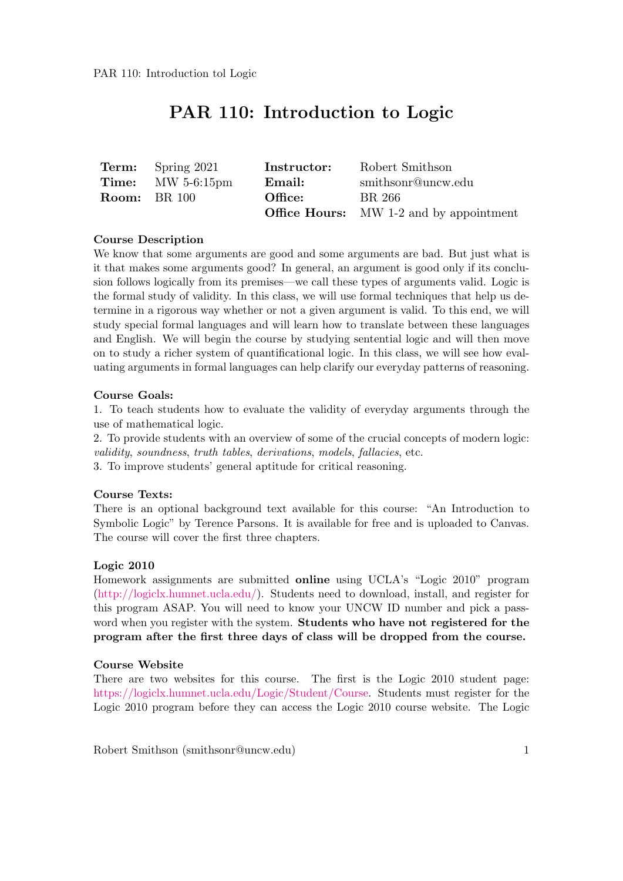# PAR 110: Introduction to Logic

| <b>Term:</b> Spring 2021 | Instructor: | Robert Smithson                                |
|--------------------------|-------------|------------------------------------------------|
| <b>Time:</b> MW 5-6:15pm | Email:      | smithsonr@uncw.edu                             |
| <b>Room:</b> BR 100      | Office:     | BR 266                                         |
|                          |             | <b>Office Hours:</b> MW 1-2 and by appointment |

# Course Description

We know that some arguments are good and some arguments are bad. But just what is it that makes some arguments good? In general, an argument is good only if its conclusion follows logically from its premises—we call these types of arguments valid. Logic is the formal study of validity. In this class, we will use formal techniques that help us determine in a rigorous way whether or not a given argument is valid. To this end, we will study special formal languages and will learn how to translate between these languages and English. We will begin the course by studying sentential logic and will then move on to study a richer system of quantificational logic. In this class, we will see how evaluating arguments in formal languages can help clarify our everyday patterns of reasoning.

# Course Goals:

1. To teach students how to evaluate the validity of everyday arguments through the use of mathematical logic.

2. To provide students with an overview of some of the crucial concepts of modern logic: validity, soundness, truth tables, derivations, models, fallacies, etc.

3. To improve students' general aptitude for critical reasoning.

# Course Texts:

There is an optional background text available for this course: "An Introduction to Symbolic Logic" by Terence Parsons. It is available for free and is uploaded to Canvas. The course will cover the first three chapters.

# Logic 2010

Homework assignments are submitted online using UCLA's "Logic 2010" program [\(http://logiclx.humnet.ucla.edu/\)](http://logiclx.humnet.ucla.edu/). Students need to download, install, and register for this program ASAP. You will need to know your UNCW ID number and pick a password when you register with the system. **Students who have not registered for the** program after the first three days of class will be dropped from the course.

# Course Website

There are two websites for this course. The first is the Logic 2010 student page: [https://logiclx.humnet.ucla.edu/Logic/Student/Course.](https://logiclx.humnet.ucla.edu/Logic/Student/Course) Students must register for the Logic 2010 program before they can access the Logic 2010 course website. The Logic

Robert Smithson (smithsonr@uncw.edu) 1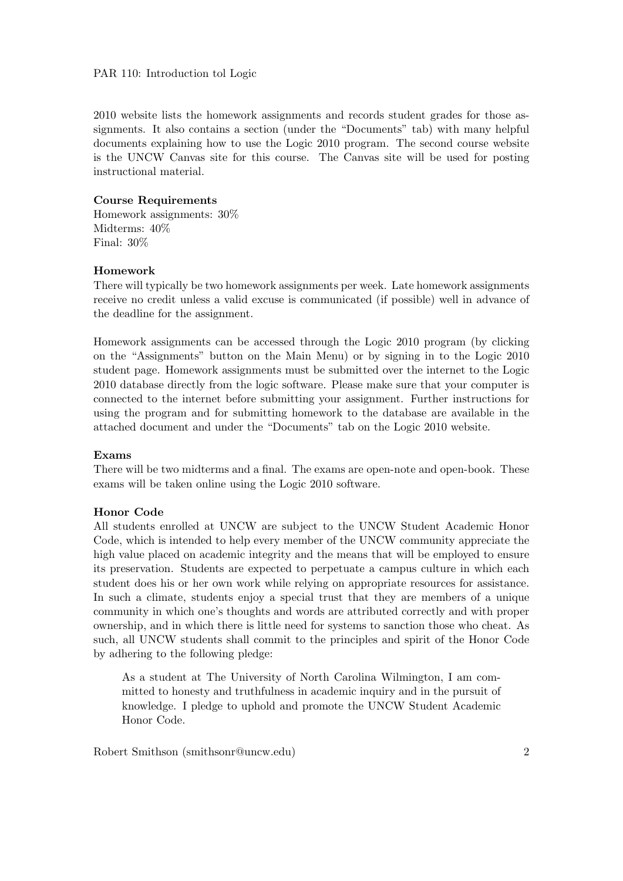# PAR 110: Introduction tol Logic

2010 website lists the homework assignments and records student grades for those assignments. It also contains a section (under the "Documents" tab) with many helpful documents explaining how to use the Logic 2010 program. The second course website is the UNCW Canvas site for this course. The Canvas site will be used for posting instructional material.

# Course Requirements

Homework assignments: 30% Midterms: 40% Final: 30%

#### Homework

There will typically be two homework assignments per week. Late homework assignments receive no credit unless a valid excuse is communicated (if possible) well in advance of the deadline for the assignment.

Homework assignments can be accessed through the Logic 2010 program (by clicking on the "Assignments" button on the Main Menu) or by signing in to the Logic 2010 student page. Homework assignments must be submitted over the internet to the Logic 2010 database directly from the logic software. Please make sure that your computer is connected to the internet before submitting your assignment. Further instructions for using the program and for submitting homework to the database are available in the attached document and under the "Documents" tab on the Logic 2010 website.

#### Exams

There will be two midterms and a final. The exams are open-note and open-book. These exams will be taken online using the Logic 2010 software.

#### Honor Code

All students enrolled at UNCW are subject to the UNCW Student Academic Honor Code, which is intended to help every member of the UNCW community appreciate the high value placed on academic integrity and the means that will be employed to ensure its preservation. Students are expected to perpetuate a campus culture in which each student does his or her own work while relying on appropriate resources for assistance. In such a climate, students enjoy a special trust that they are members of a unique community in which one's thoughts and words are attributed correctly and with proper ownership, and in which there is little need for systems to sanction those who cheat. As such, all UNCW students shall commit to the principles and spirit of the Honor Code by adhering to the following pledge:

As a student at The University of North Carolina Wilmington, I am committed to honesty and truthfulness in academic inquiry and in the pursuit of knowledge. I pledge to uphold and promote the UNCW Student Academic Honor Code.

Robert Smithson (smithsonr@uncw.edu) 2